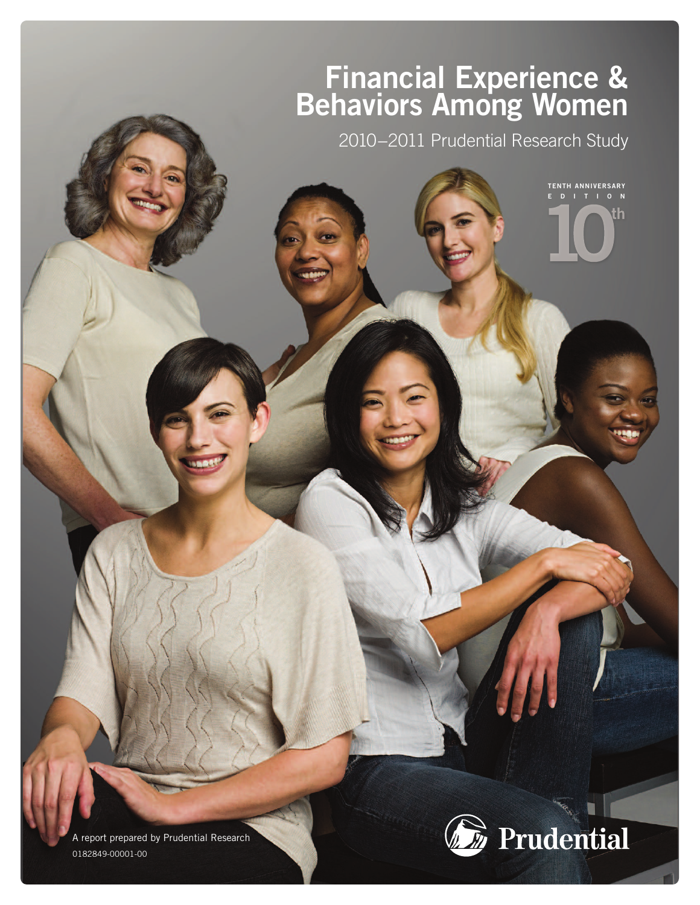# **Financial Experience & Behaviors Among Women**

2010−2011 Prudential Research Study

**TENTH ANNIVERSARY E D I T I O N**

th

A report prepared by Prudential Research 0182849-00001-00

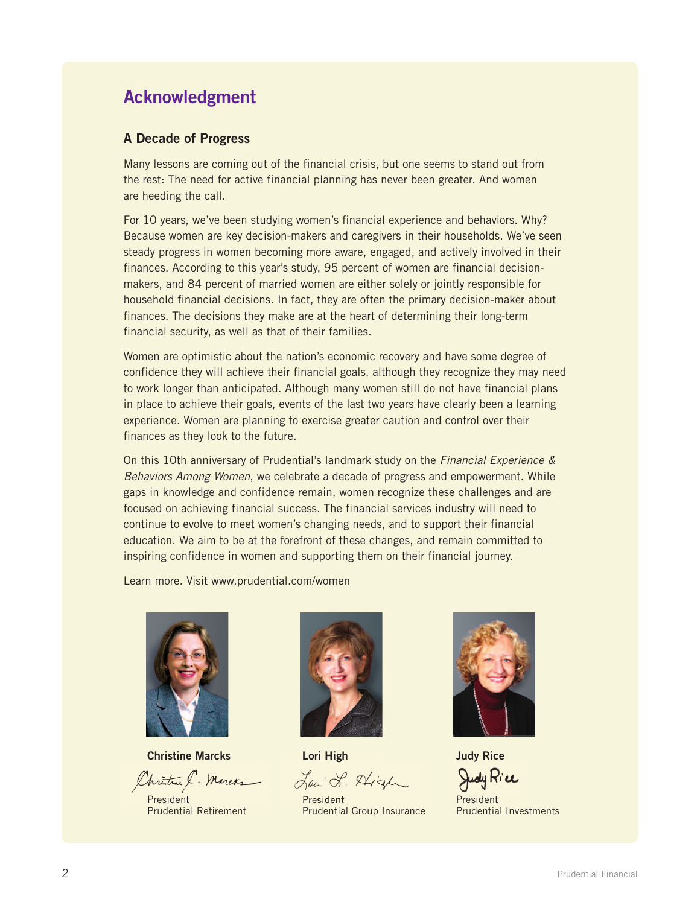### **Acknowledgment**

#### **A Decade of Progress**

Many lessons are coming out of the financial crisis, but one seems to stand out from the rest: The need for active financial planning has never been greater. And women are heeding the call.

For 10 years, we've been studying women's financial experience and behaviors. Why? Because women are key decision-makers and caregivers in their households. We've seen steady progress in women becoming more aware, engaged, and actively involved in their finances. According to this year's study, 95 percent of women are financial decisionmakers, and 84 percent of married women are either solely or jointly responsible for household financial decisions. In fact, they are often the primary decision-maker about finances. The decisions they make are at the heart of determining their long-term financial security, as well as that of their families.

Women are optimistic about the nation's economic recovery and have some degree of confidence they will achieve their financial goals, although they recognize they may need to work longer than anticipated. Although many women still do not have financial plans in place to achieve their goals, events of the last two years have clearly been a learning experience. Women are planning to exercise greater caution and control over their finances as they look to the future.

On this 10th anniversary of Prudential's landmark study on the *Financial Experience & Behaviors Among Women*, we celebrate a decade of progress and empowerment. While gaps in knowledge and confidence remain, women recognize these challenges and are focused on achieving financial success. The financial services industry will need to continue to evolve to meet women's changing needs, and to support their financial education. We aim to be at the forefront of these changes, and remain committed to inspiring confidence in women and supporting them on their financial journey.

Learn more. Visit www.prudential.com/women



**Christine Marcks**

hritine &. Marcha

President Prudential Retirement



**Lori High**

Low J. Aligh

President Prudential Group Insurance



**Judy Rice** Judy Rice

**President** Prudential Investments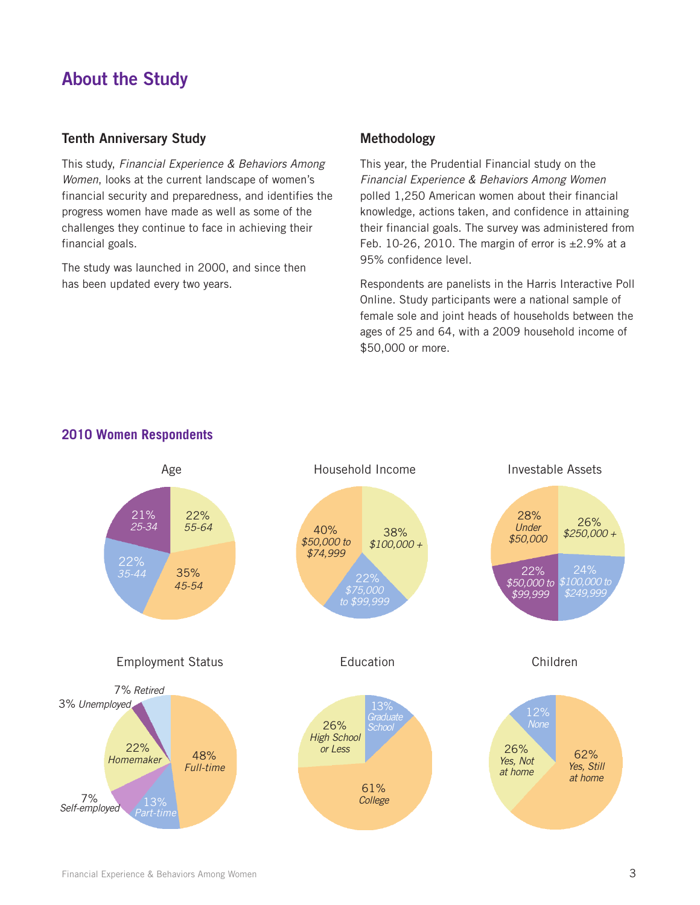### **About the Study**

#### **Tenth Anniversary Study**

This study, *Financial Experience & Behaviors Among Women*, looks at the current landscape of women's financial security and preparedness, and identifies the progress women have made as well as some of the challenges they continue to face in achieving their financial goals.

The study was launched in 2000, and since then has been updated every two years.

#### **Methodology**

This year, the Prudential Financial study on the *Financial Experience & Behaviors Among Women* polled 1,250 American women about their financial knowledge, actions taken, and confidence in attaining their financial goals. The survey was administered from Feb. 10-26, 2010. The margin of error is  $\pm 2.9\%$  at a 95% confidence level.

Respondents are panelists in the Harris Interactive Poll Online. Study participants were a national sample of female sole and joint heads of households between the ages of 25 and 64, with a 2009 household income of \$50,000 or more.



#### **2010 Women Respondents**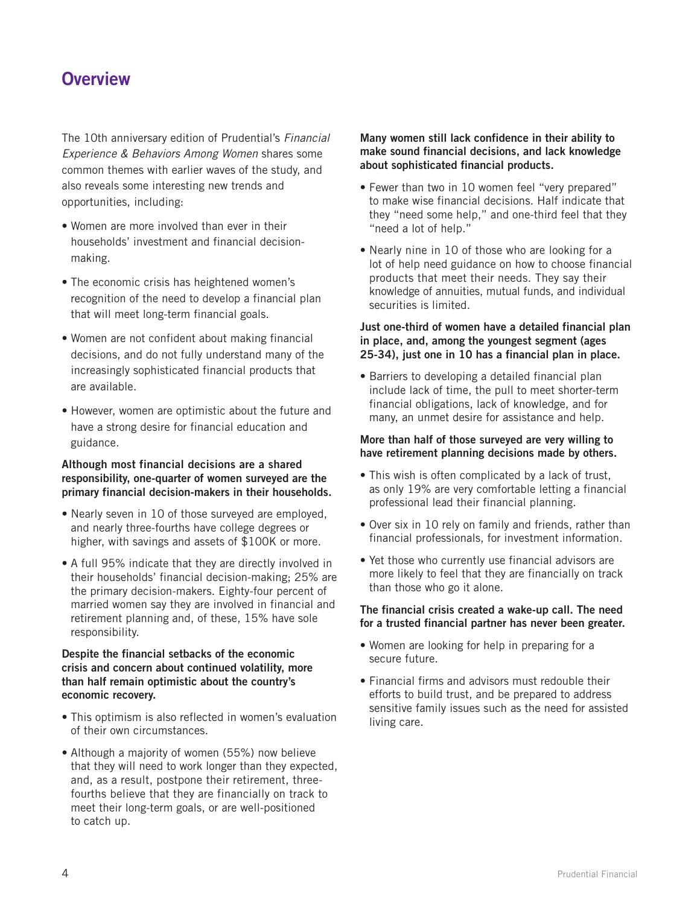### **Overview**

The 10th anniversary edition of Prudential's *Financial Experience & Behaviors Among Women* shares some common themes with earlier waves of the study, and also reveals some interesting new trends and opportunities, including:

- Women are more involved than ever in their households' investment and financial decisionmaking.
- The economic crisis has heightened women's recognition of the need to develop a financial plan that will meet long-term financial goals.
- Women are not confident about making financial decisions, and do not fully understand many of the increasingly sophisticated financial products that are available.
- However, women are optimistic about the future and have a strong desire for financial education and guidance.

#### **Although most financial decisions are a shared responsibility, one-quarter of women surveyed are the primary financial decision-makers in their households.**

- Nearly seven in 10 of those surveyed are employed, and nearly three-fourths have college degrees or higher, with savings and assets of \$100K or more.
- A full 95% indicate that they are directly involved in their households' financial decision-making; 25% are the primary decision-makers. Eighty-four percent of married women say they are involved in financial and retirement planning and, of these, 15% have sole responsibility.

#### **Despite the financial setbacks of the economic crisis and concern about continued volatility, more than half remain optimistic about the country's economic recovery.**

- This optimism is also reflected in women's evaluation of their own circumstances.
- Although a majority of women (55%) now believe that they will need to work longer than they expected, and, as a result, postpone their retirement, threefourths believe that they are financially on track to meet their long-term goals, or are well-positioned to catch up.

#### **Many women still lack confidence in their ability to make sound financial decisions, and lack knowledge about sophisticated financial products.**

- Fewer than two in 10 women feel "very prepared" to make wise financial decisions. Half indicate that they "need some help," and one-third feel that they "need a lot of help."
- Nearly nine in 10 of those who are looking for a lot of help need guidance on how to choose financial products that meet their needs. They say their knowledge of annuities, mutual funds, and individual securities is limited.

#### **Just one-third of women have a detailed financial plan in place, and, among the youngest segment (ages 25-34), just one in 10 has a financial plan in place.**

• Barriers to developing a detailed financial plan include lack of time, the pull to meet shorter-term financial obligations, lack of knowledge, and for many, an unmet desire for assistance and help.

#### **More than half of those surveyed are very willing to have retirement planning decisions made by others.**

- This wish is often complicated by a lack of trust, as only 19% are very comfortable letting a financial professional lead their financial planning.
- Over six in 10 rely on family and friends, rather than financial professionals, for investment information.
- Yet those who currently use financial advisors are more likely to feel that they are financially on track than those who go it alone.

#### **The financial crisis created a wake-up call. The need for a trusted financial partner has never been greater.**

- Women are looking for help in preparing for a secure future.
- Financial firms and advisors must redouble their efforts to build trust, and be prepared to address sensitive family issues such as the need for assisted living care.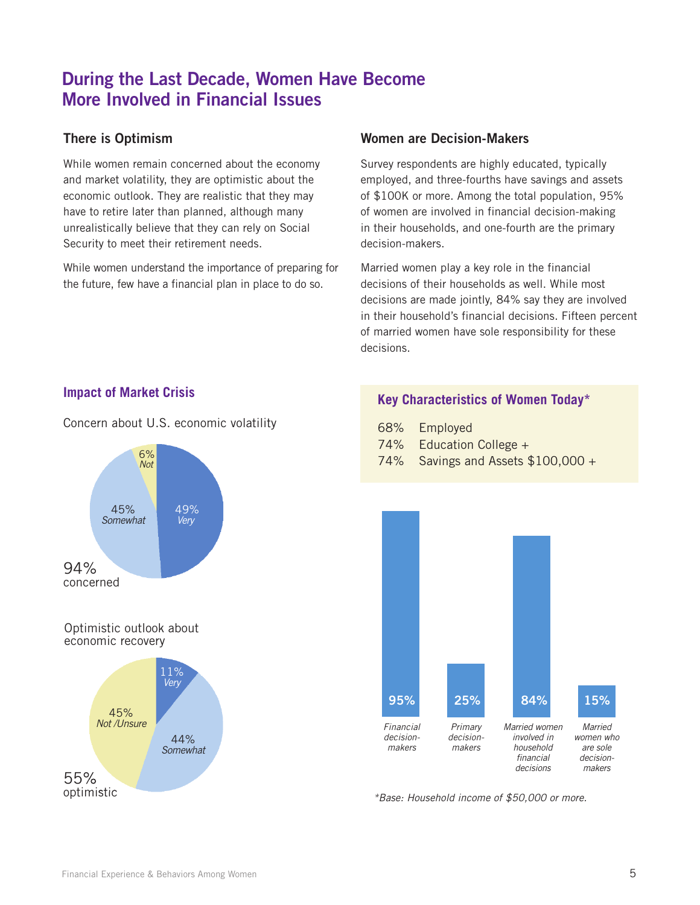### **During the Last Decade, Women Have Become More Involved in Financial Issues**

### **There is Optimism**

While women remain concerned about the economy and market volatility, they are optimistic about the economic outlook. They are realistic that they may have to retire later than planned, although many unrealistically believe that they can rely on Social Security to meet their retirement needs.

While women understand the importance of preparing for the future, few have a financial plan in place to do so.

#### **Women are Decision-Makers**

Survey respondents are highly educated, typically employed, and three-fourths have savings and assets of \$100K or more. Among the total population, 95% of women are involved in financial decision-making in their households, and one-fourth are the primary decision-makers.

Married women play a key role in the financial decisions of their households as well. While most decisions are made jointly, 84% say they are involved in their household's financial decisions. Fifteen percent of married women have sole responsibility for these decisions.

#### **Impact of Market Crisis**

Concern about U.S. economic volatility



#### Optimistic outlook about economic recovery



#### **Key Characteristics of Women Today\***

| 68% | Employed |
|-----|----------|
|-----|----------|

- 74% Education College +
- 74% Savings and Assets \$100,000 +



*\*Base: Household income of \$50,000 or more.*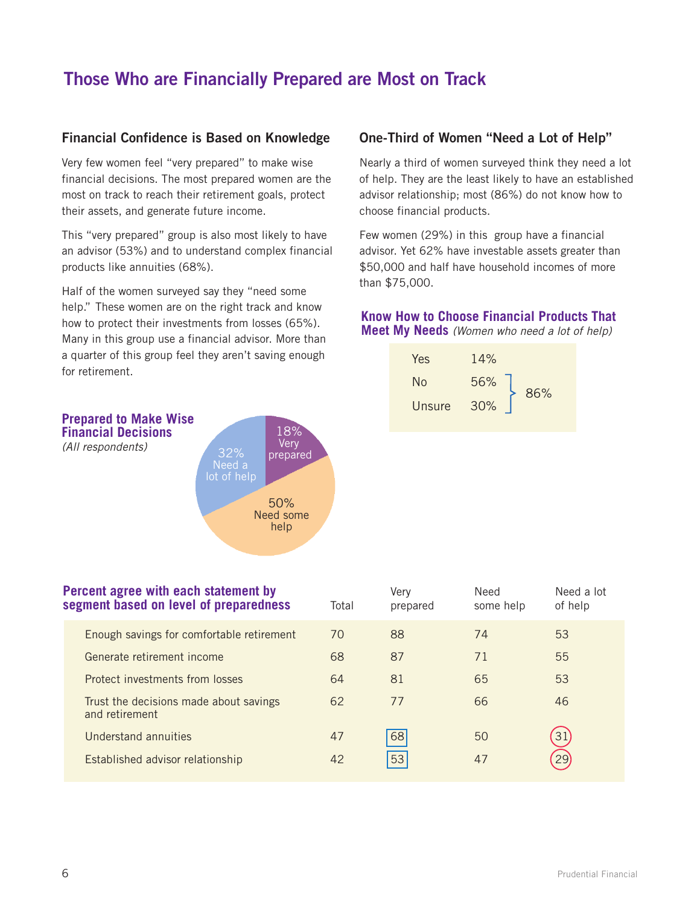## **Those Who are Financially Prepared are Most on Track**

#### **Financial Confidence is Based on Knowledge**

Very few women feel "very prepared" to make wise financial decisions. The most prepared women are the most on track to reach their retirement goals, protect their assets, and generate future income.

This "very prepared" group is also most likely to have an advisor (53%) and to understand complex financial products like annuities (68%).

Half of the women surveyed say they "need some help." These women are on the right track and know how to protect their investments from losses (65%). Many in this group use a financial advisor. More than a quarter of this group feel they aren't saving enough for retirement.

*(All respondents)*

#### **One-Third of Women "Need a Lot of Help"**

Nearly a third of women surveyed think they need a lot of help. They are the least likely to have an established advisor relationship; most (86%) do not know how to choose financial products.

Few women (29%) in this group have a financial advisor. Yet 62% have investable assets greater than \$50,000 and half have household incomes of more than \$75,000.

#### **Know How to Choose Financial Products That Meet My Needs** *(Women who need a lot of help)*





| Percent agree with each statement by<br>segment based on level of preparedness |  |  |  | Total                    | Verv<br>prepared | Need<br>some help | Need a lot<br>of help |
|--------------------------------------------------------------------------------|--|--|--|--------------------------|------------------|-------------------|-----------------------|
|                                                                                |  |  |  | $\overline{\phantom{a}}$ |                  |                   | $\sim$ $\sim$         |

| <u>JURNIUM MUUUU UN IUTUI UI PIUPUIUUNUU</u>             | 1 U LU 1 | proparoa | 3011011010 | $V_1$ 1101 $N$ |
|----------------------------------------------------------|----------|----------|------------|----------------|
| Enough savings for comfortable retirement                | 70       | 88       | 74         | 53             |
| Generate retirement income                               | 68       | 87       | 71         | 55             |
| Protect investments from losses                          | 64       | 81       | 65         | 53             |
| Trust the decisions made about savings<br>and retirement | 62       | 77       | 66         | 46             |
| <b>Understand annuities</b>                              | 47       | 68       | 50         | 31)            |
| Established advisor relationship                         | 42       | 53       | 47         | 29             |
|                                                          |          |          |            |                |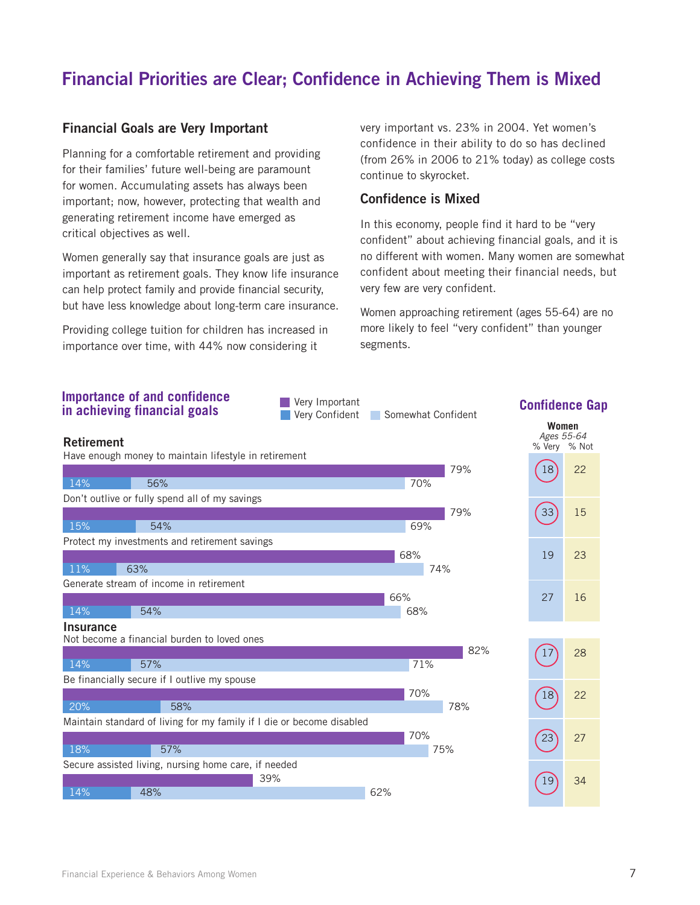## **Financial Priorities are Clear; Confidence in Achieving Them is Mixed**

#### **Financial Goals are Very Important**

Planning for a comfortable retirement and providing for their families' future well-being are paramount for women. Accumulating assets has always been important; now, however, protecting that wealth and generating retirement income have emerged as critical objectives as well.

Women generally say that insurance goals are just as important as retirement goals. They know life insurance can help protect family and provide financial security, but have less knowledge about long-term care insurance.

Providing college tuition for children has increased in importance over time, with 44% now considering it

very important vs. 23% in 2004. Yet women's confidence in their ability to do so has declined (from 26% in 2006 to 21% today) as college costs continue to skyrocket.

#### **Confidence is Mixed**

In this economy, people find it hard to be "very confident" about achieving financial goals, and it is no different with women. Many women are somewhat confident about meeting their financial needs, but very few are very confident.

Women approaching retirement (ages 55-64) are no more likely to feel "very confident" than younger segments.

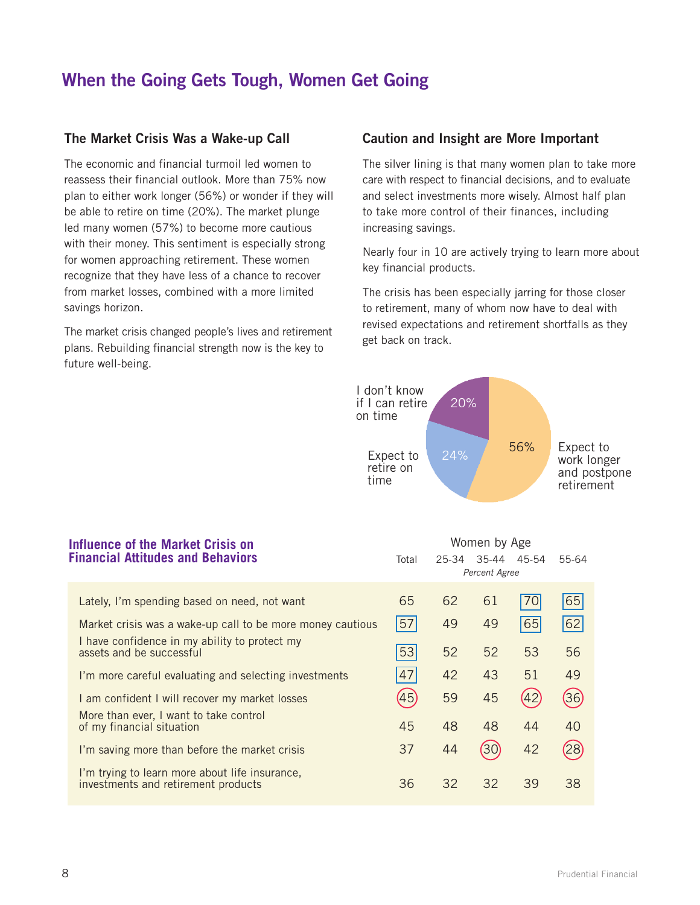### **When the Going Gets Tough, Women Get Going**

#### **The Market Crisis Was a Wake-up Call**

The economic and financial turmoil led women to reassess their financial outlook. More than 75% now plan to either work longer (56%) or wonder if they will be able to retire on time (20%). The market plunge led many women (57%) to become more cautious with their money. This sentiment is especially strong for women approaching retirement. These women recognize that they have less of a chance to recover from market losses, combined with a more limited savings horizon.

The market crisis changed people's lives and retirement plans. Rebuilding financial strength now is the key to future well-being.

#### **Caution and Insight are More Important**

The silver lining is that many women plan to take more care with respect to financial decisions, and to evaluate and select investments more wisely. Almost half plan to take more control of their finances, including increasing savings.

Nearly four in 10 are actively trying to learn more about key financial products.

The crisis has been especially jarring for those closer to retirement, many of whom now have to deal with revised expectations and retirement shortfalls as they get back on track.



Women by Age

#### **Influence of the Market Crisis on Financial Attitudes and Behaviors**

| inancial Attitudes and Behaviors                                                      | Total | 25-34 | 35-44<br>Percent Agree | 45-54 | 55-64 |
|---------------------------------------------------------------------------------------|-------|-------|------------------------|-------|-------|
| Lately, I'm spending based on need, not want                                          | 65    | 62    | 61                     | 70    | 65    |
| Market crisis was a wake-up call to be more money cautious                            | 57    | 49    | 49                     | 65    | 62    |
| I have confidence in my ability to protect my<br>assets and be successful             | 53    | 52    | 52                     | 53    | 56    |
| I'm more careful evaluating and selecting investments                                 | 47    | 42    | 43                     | 51    | 49    |
| I am confident I will recover my market losses                                        | (45)  | 59    | 45                     | (42)  | (36)  |
| More than ever, I want to take control<br>of my financial situation                   | 45    | 48    | 48                     | 44    | 40    |
| I'm saving more than before the market crisis                                         | 37    | 44    | (30)                   | 42    | (28)  |
| I'm trying to learn more about life insurance,<br>investments and retirement products | 36    | 32    | 32                     | 39    | 38    |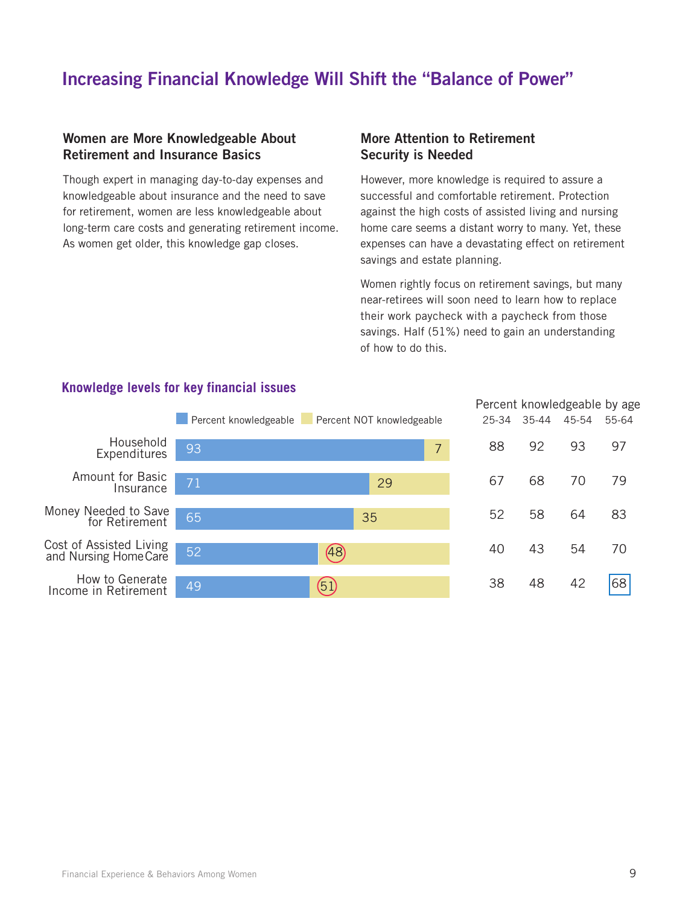### **Increasing Financial Knowledge Will Shift the "Balance of Power"**

#### **Women are More Knowledgeable About Retirement and Insurance Basics**

Though expert in managing day-to-day expenses and knowledgeable about insurance and the need to save for retirement, women are less knowledgeable about long-term care costs and generating retirement income. As women get older, this knowledge gap closes.

#### **More Attention to Retirement Security is Needed**

However, more knowledge is required to assure a successful and comfortable retirement. Protection against the high costs of assisted living and nursing home care seems a distant worry to many. Yet, these expenses can have a devastating effect on retirement savings and estate planning.

Women rightly focus on retirement savings, but many near-retirees will soon need to learn how to replace their work paycheck with a paycheck from those savings. Half (51%) need to gain an understanding of how to do this.



#### **Knowledge levels for key financial issues**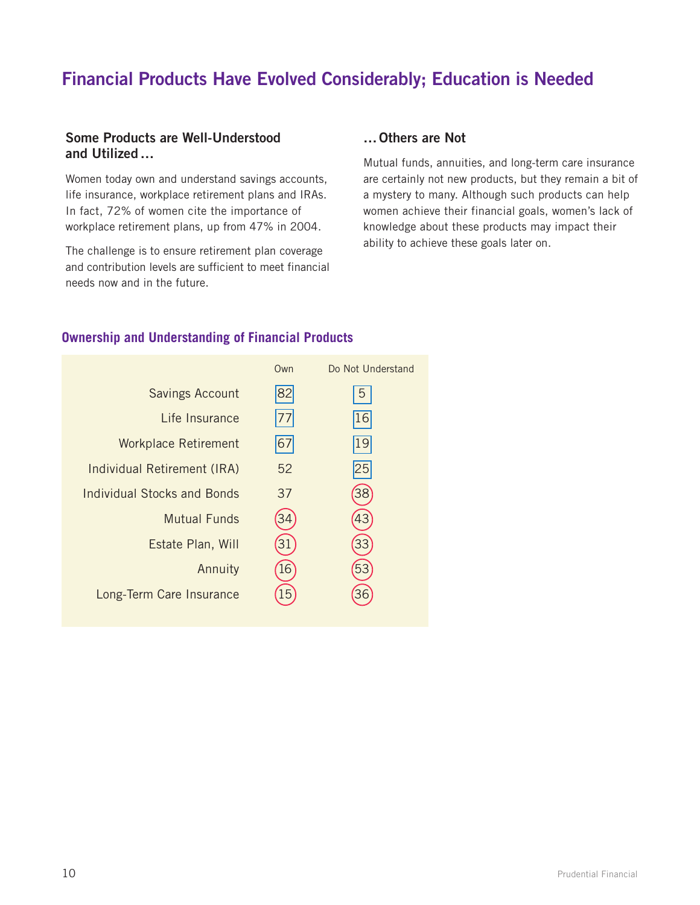## **Financial Products Have Evolved Considerably; Education is Needed**

#### **Some Products are Well-Understood and Utilized…**

Women today own and understand savings accounts, life insurance, workplace retirement plans and IRAs. In fact, 72% of women cite the importance of workplace retirement plans, up from 47% in 2004.

The challenge is to ensure retirement plan coverage and contribution levels are sufficient to meet financial needs now and in the future.

#### **…Others are Not**

Mutual funds, annuities, and long-term care insurance are certainly not new products, but they remain a bit of a mystery to many. Although such products can help women achieve their financial goals, women's lack of knowledge about these products may impact their ability to achieve these goals later on.

#### **Ownership and Understanding of Financial Products**

|                             | Own | Do Not Understand |
|-----------------------------|-----|-------------------|
| Savings Account             | 82  | 5                 |
| Life Insurance              |     | 16                |
| <b>Workplace Retirement</b> | 67  | 19                |
| Individual Retirement (IRA) | 52  | 25                |
| Individual Stocks and Bonds | 37  | 38                |
| Mutual Funds                |     | 43                |
| Estate Plan, Will           |     |                   |
| Annuity                     | 16  | 53                |
| Long-Term Care Insurance    | .5  |                   |
|                             |     |                   |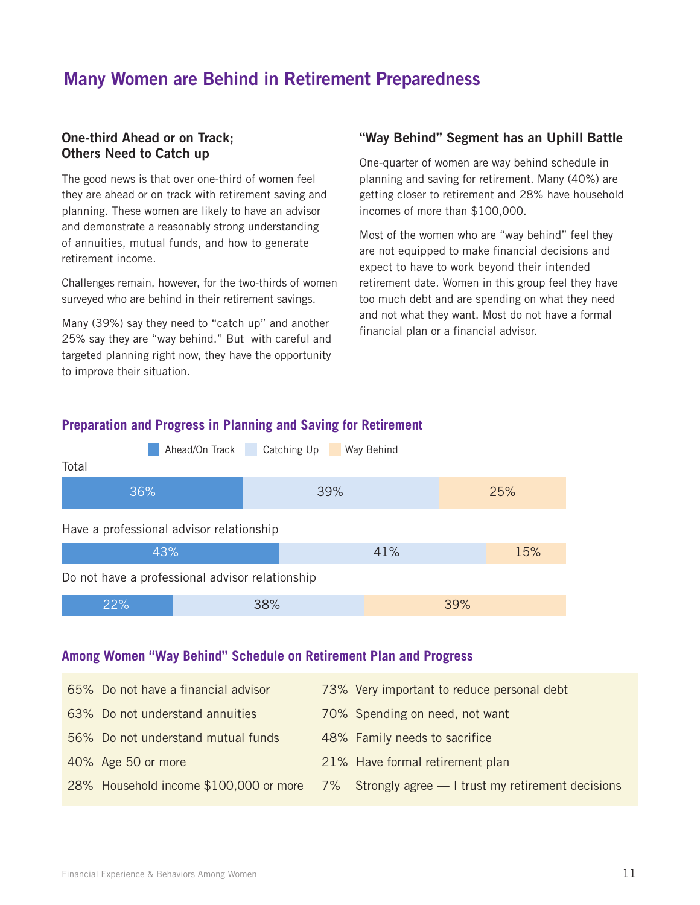### **Many Women are Behind in Retirement Preparedness**

#### **One-third Ahead or on Track; Others Need to Catch up**

The good news is that over one-third of women feel they are ahead or on track with retirement saving and planning. These women are likely to have an advisor and demonstrate a reasonably strong understanding of annuities, mutual funds, and how to generate retirement income.

Challenges remain, however, for the two-thirds of women surveyed who are behind in their retirement savings.

Many (39%) say they need to "catch up" and another 25% say they are "way behind." But with careful and targeted planning right now, they have the opportunity to improve their situation.

#### **"Way Behind" Segment has an Uphill Battle**

One-quarter of women are way behind schedule in planning and saving for retirement. Many (40%) are getting closer to retirement and 28% have household incomes of more than \$100,000.

Most of the women who are "way behind" feel they are not equipped to make financial decisions and expect to have to work beyond their intended retirement date. Women in this group feel they have too much debt and are spending on what they need and not what they want. Most do not have a formal financial plan or a financial advisor.



#### **Preparation and Progress in Planning and Saving for Retirement**

#### **Among Women "Way Behind" Schedule on Retirement Plan and Progress**

| 65% Do not have a financial advisor | 73% Very important to reduce personal debt                                                 |
|-------------------------------------|--------------------------------------------------------------------------------------------|
| 63% Do not understand annuities     | 70% Spending on need, not want                                                             |
| 56% Do not understand mutual funds  | 48% Family needs to sacrifice                                                              |
| 40% Age 50 or more                  | 21% Have formal retirement plan                                                            |
|                                     | 28% Household income \$100,000 or more 7% Strongly agree — I trust my retirement decisions |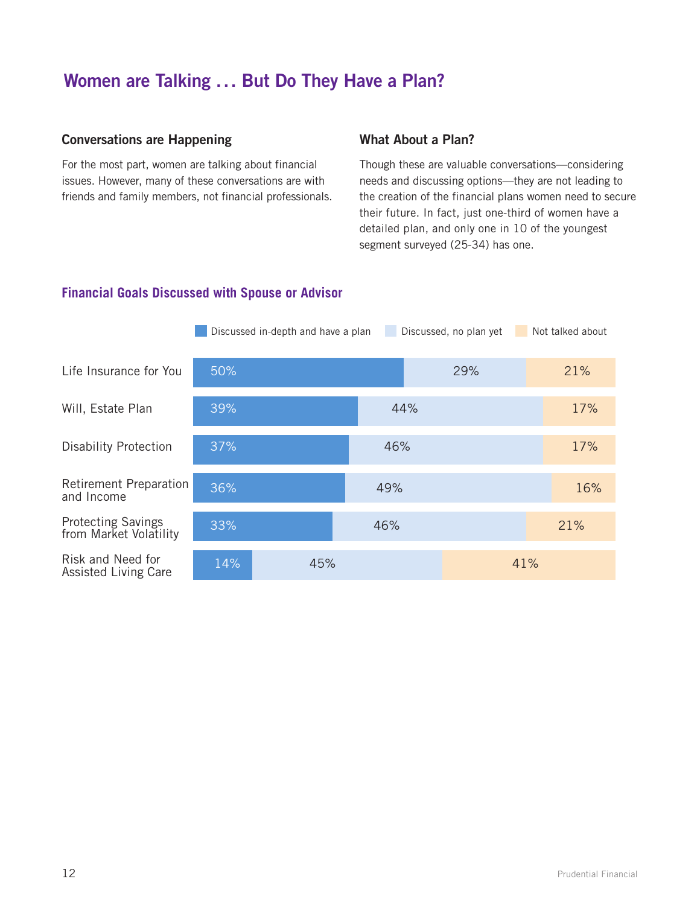### **Women are Talking ... But Do They Have a Plan?**

#### **Conversations are Happening**

For the most part, women are talking about financial issues. However, many of these conversations are with friends and family members, not financial professionals.

#### **What About a Plan?**

Though these are valuable conversations—considering needs and discussing options—they are not leading to the creation of the financial plans women need to secure their future. In fact, just one-third of women have a detailed plan, and only one in 10 of the youngest segment surveyed (25-34) has one.

#### **Financial Goals Discussed with Spouse or Advisor**

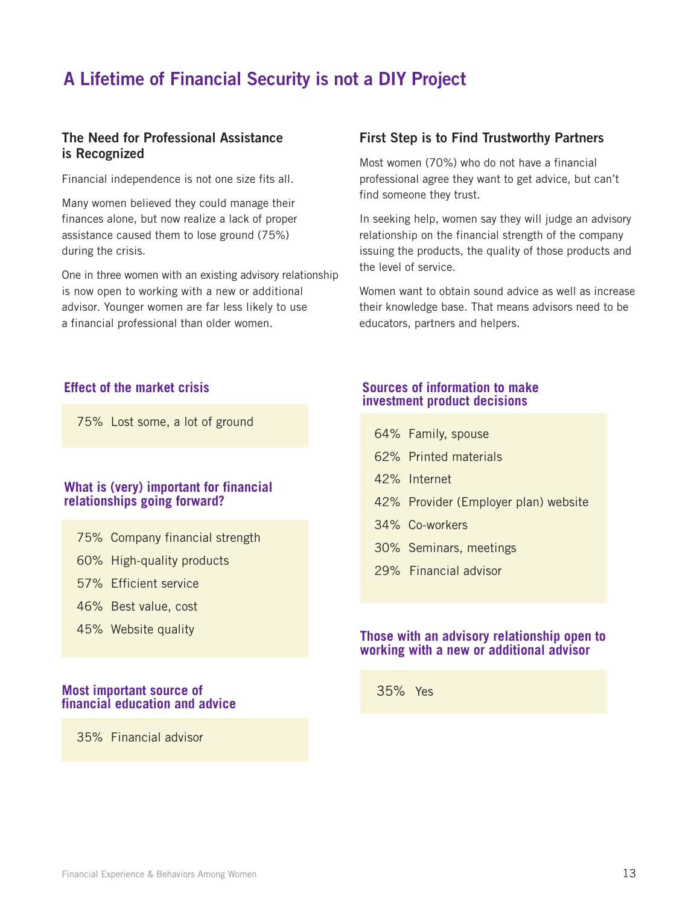## **A Lifetime of Financial Security is not a DIY Project**

#### **The Need for Professional Assistance is Recognized**

Financial independence is not one size fits all.

Many women believed they could manage their finances alone, but now realize a lack of proper assistance caused them to lose ground (75%) during the crisis.

One in three women with an existing advisory relationship is now open to working with a new or additional advisor. Younger women are far less likely to use a financial professional than older women.

75% Lost some, a lot of ground

#### **What is (very) important for financial relationships going forward?**

- 75% Company financial strength
- 60% High-quality products
- 57% Efficient service
- 46% Best value, cost
- 45% Website quality

#### **Most important source of financial education and advice**

35% Financial advisor

#### **First Step is to Find Trustworthy Partners**

Most women (70%) who do not have a financial professional agree they want to get advice, but can't find someone they trust.

In seeking help, women say they will judge an advisory relationship on the financial strength of the company issuing the products, the quality of those products and the level of service.

Women want to obtain sound advice as well as increase their knowledge base. That means advisors need to be educators, partners and helpers.

#### **Effect of the market crisis Sources of information to make investment product decisions**

| 64% Family, spouse                   |
|--------------------------------------|
| 62% Printed materials                |
| 42% Internet                         |
| 42% Provider (Employer plan) website |
| 34% Co-workers                       |
| 30% Seminars, meetings               |
| 29% Financial advisor                |
|                                      |

#### **Those with an advisory relationship open to working with a new or additional advisor**

35% Yes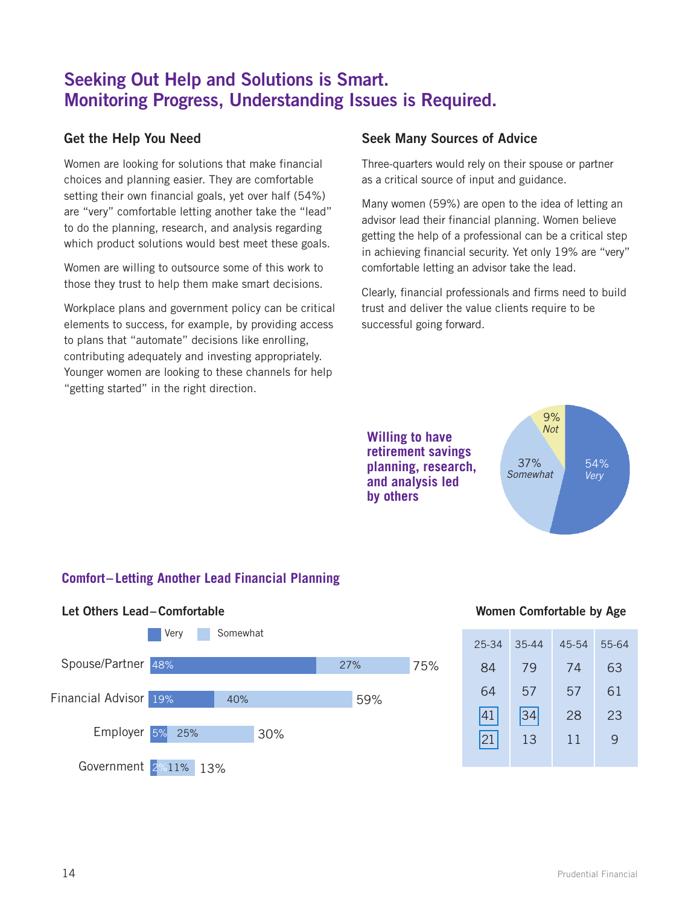### **Seeking Out Help and Solutions is Smart. Monitoring Progress, Understanding Issues is Required.**

#### **Get the Help You Need**

Women are looking for solutions that make financial choices and planning easier. They are comfortable setting their own financial goals, yet over half (54%) are "very" comfortable letting another take the "lead" to do the planning, research, and analysis regarding which product solutions would best meet these goals.

Women are willing to outsource some of this work to those they trust to help them make smart decisions.

Workplace plans and government policy can be critical elements to success, for example, by providing access to plans that "automate" decisions like enrolling, contributing adequately and investing appropriately. Younger women are looking to these channels for help "getting started" in the right direction.

#### **Seek Many Sources of Advice**

Three-quarters would rely on their spouse or partner as a critical source of input and guidance.

Many women (59%) are open to the idea of letting an advisor lead their financial planning. Women believe getting the help of a professional can be a critical step in achieving financial security. Yet only 19% are "very" comfortable letting an advisor take the lead.

Clearly, financial professionals and firms need to build trust and deliver the value clients require to be successful going forward.

**Willing to have retirement savings planning, research, and analysis led by others**



#### **Comfort– Letting Another Lead Financial Planning**



#### **Women Comfortable by Age**

| 25-34 | $35 - 44$ | 45-54 | 55-64 |
|-------|-----------|-------|-------|
| 84    | 79        | 74    | 63    |
| 64    | 57        | 57    | 61    |
| 41    | 34        | 28    | 23    |
| 21    | 13        | 11    | 9     |
|       |           |       |       |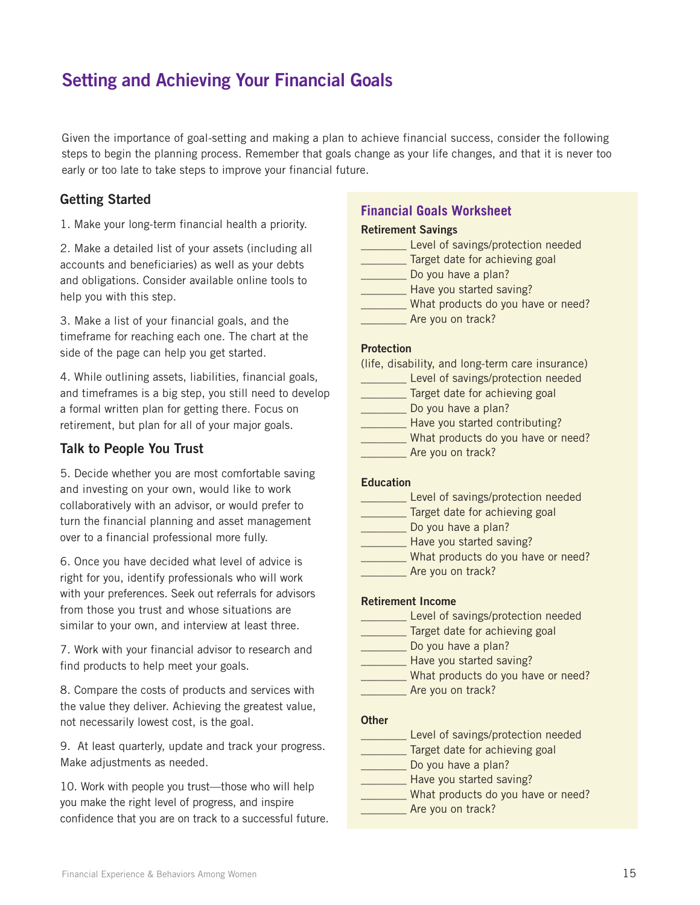### **Setting and Achieving Your Financial Goals**

Given the importance of goal-setting and making a plan to achieve financial success, consider the following steps to begin the planning process. Remember that goals change as your life changes, and that it is never too early or too late to take steps to improve your financial future.

#### **Getting Started**

1. Make your long-term financial health a priority.

2. Make a detailed list of your assets (including all accounts and beneficiaries) as well as your debts and obligations. Consider available online tools to help you with this step.

3. Make a list of your financial goals, and the timeframe for reaching each one. The chart at the side of the page can help you get started.

4. While outlining assets, liabilities, financial goals, and timeframes is a big step, you still need to develop a formal written plan for getting there. Focus on retirement, but plan for all of your major goals.

#### **Talk to People You Trust**

5. Decide whether you are most comfortable saving and investing on your own, would like to work collaboratively with an advisor, or would prefer to turn the financial planning and asset management over to a financial professional more fully.

6. Once you have decided what level of advice is right for you, identify professionals who will work with your preferences. Seek out referrals for advisors from those you trust and whose situations are similar to your own, and interview at least three.

7. Work with your financial advisor to research and find products to help meet your goals.

8. Compare the costs of products and services with the value they deliver. Achieving the greatest value, not necessarily lowest cost, is the goal.

9. At least quarterly, update and track your progress. Make adjustments as needed.

10. Work with people you trust—those who will help you make the right level of progress, and inspire confidence that you are on track to a successful future.

#### **Financial Goals Worksheet**

#### **Retirement Savings**

| Level of savings/protection needed |
|------------------------------------|
| Target date for achieving goal     |
| Do you have a plan?                |
| Have you started saving?           |
| What products do you have or need? |
| Are you on track?                  |

#### **Protection**

#### **Education**

| Level of savings/protection needed |
|------------------------------------|
| Target date for achieving goal     |
| Do you have a plan?                |
| Have you started saving?           |
| What products do you have or need? |
| Are you on track?                  |
|                                    |

#### **Retirement Income**

| Level of savings/protection needed |
|------------------------------------|
| Target date for achieving goal     |
| Do you have a plan?                |
| Have you started saving?           |
| What products do you have or need? |
| Are you on track?                  |

#### **Other**

| Level of savings/protection needed |
|------------------------------------|
| Target date for achieving goal     |
| Do you have a plan?                |
| Have you started saving?           |
| What products do you have or need? |
| Are you on track?                  |